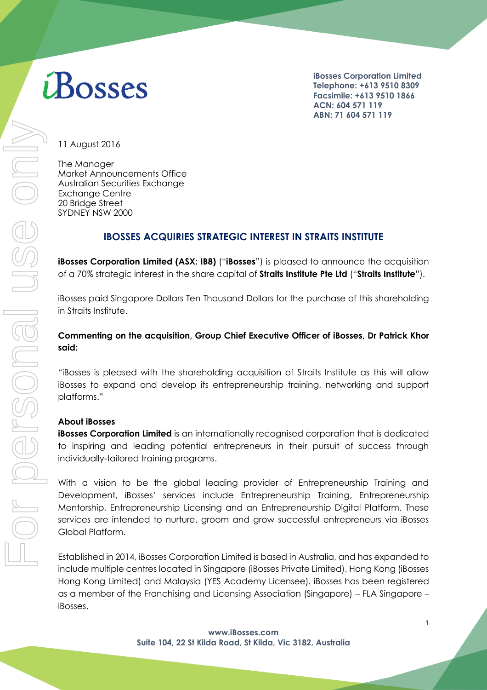# iBosses

**iBosses Corporation Limited Telephone: +613 9510 8309 Facsimile: +613 9510 1866 ACN: 604 571 119 ABN: 71 604 571 119**

11 August 2016

The Manager Market Announcements Office Australian Securities Exchange Exchange Centre 20 Bridge Street SYDNEY NSW 2000

# **IBOSSES ACQUIRIES STRATEGIC INTEREST IN STRAITS INSTITUTE**

**iBosses Corporation Limited (ASX: IB8)** ("**iBosses**") is pleased to announce the acquisition of a 70% strategic interest in the share capital of **Straits Institute Pte Ltd** ("**Straits Institute**").

iBosses paid Singapore Dollars Ten Thousand Dollars for the purchase of this shareholding in Straits Institute.

## **Commenting on the acquisition, Group Chief Executive Officer of iBosses, Dr Patrick Khor said:**

"iBosses is pleased with the shareholding acquisition of Straits Institute as this will allow iBosses to expand and develop its entrepreneurship training, networking and support platforms."

#### **About iBosses**

**iBosses Corporation Limited** is an internationally recognised corporation that is dedicated to inspiring and leading potential entrepreneurs in their pursuit of success through individually-tailored training programs.

With a vision to be the global leading provider of Entrepreneurship Training and Development, iBosses' services include Entrepreneurship Training, Entrepreneurship Mentorship, Entrepreneurship Licensing and an Entrepreneurship Digital Platform. These services are intended to nurture, groom and grow successful entrepreneurs via iBosses Global Platform.

Established in 2014, iBosses Corporation Limited is based in Australia, and has expanded to include multiple centres located in Singapore (iBosses Private Limited), Hong Kong (iBosses Hong Kong Limited) and Malaysia (YES Academy Licensee). iBosses has been registered as a member of the Franchising and Licensing Association (Singapore) – FLA Singapore – iBosses.